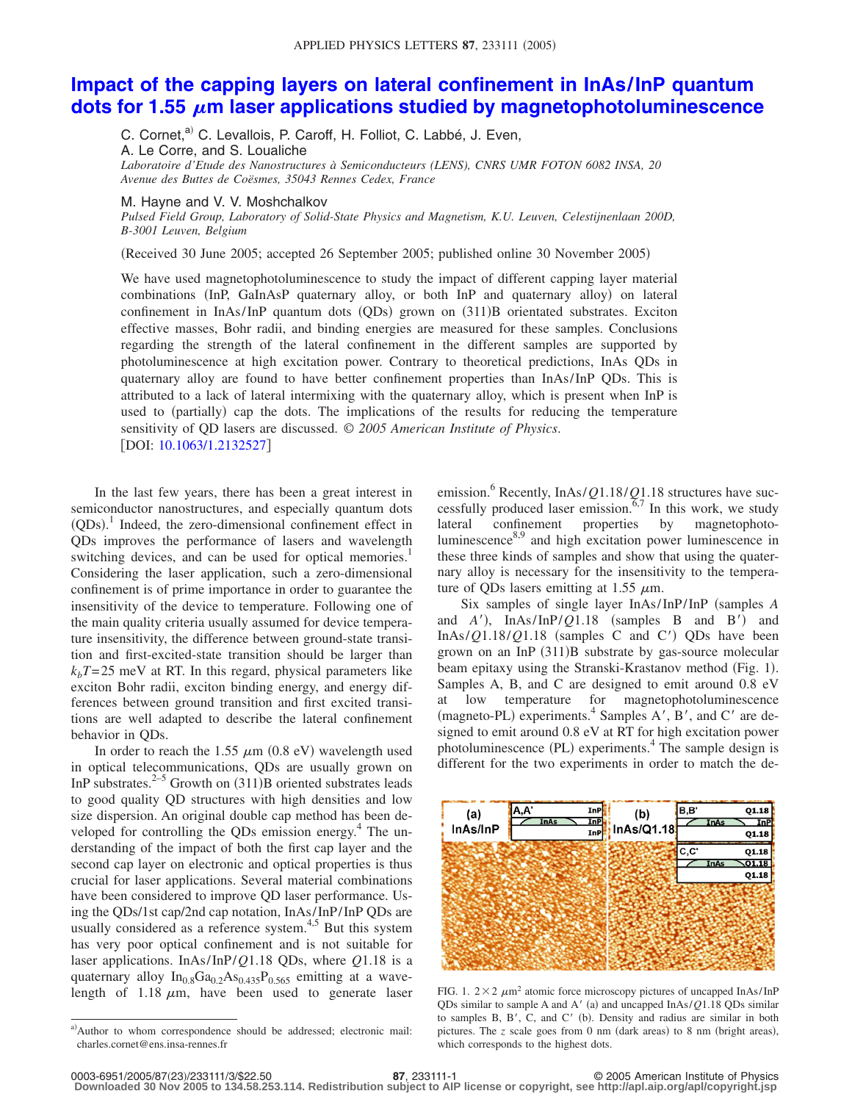## **[Impact of the capping layers on lateral confinement in InAs/InP quantum](http://dx.doi.org/10.1063/1.2132527)** dots for 1.55  $\mu$ [m laser applications studied by magnetophotoluminescence](http://dx.doi.org/10.1063/1.2132527)

C. Cornet,<sup>a)</sup> C. Levallois, P. Caroff, H. Folliot, C. Labbé, J. Even, A. Le Corre, and S. Loualiche *Laboratoire d'Etude des Nanostructures à Semiconducteurs (LENS), CNRS UMR FOTON 6082 INSA, 20 Avenue des Buttes de Coësmes, 35043 Rennes Cedex, France*

## M. Hayne and V. V. Moshchalkov

*Pulsed Field Group, Laboratory of Solid-State Physics and Magnetism, K.U. Leuven, Celestijnenlaan 200D, B-3001 Leuven, Belgium*

Received 30 June 2005; accepted 26 September 2005; published online 30 November 2005-

We have used magnetophotoluminescence to study the impact of different capping layer material combinations (InP, GaInAsP quaternary alloy, or both InP and quaternary alloy) on lateral confinement in InAs/InP quantum dots (QDs) grown on (311)B orientated substrates. Exciton effective masses, Bohr radii, and binding energies are measured for these samples. Conclusions regarding the strength of the lateral confinement in the different samples are supported by photoluminescence at high excitation power. Contrary to theoretical predictions, InAs QDs in quaternary alloy are found to have better confinement properties than InAs/InP QDs. This is attributed to a lack of lateral intermixing with the quaternary alloy, which is present when InP is used to (partially) cap the dots. The implications of the results for reducing the temperature sensitivity of QD lasers are discussed. © *2005 American Institute of Physics*. DOI: [10.1063/1.2132527](http://dx.doi.org/10.1063/1.2132527)

In the last few years, there has been a great interest in semiconductor nanostructures, and especially quantum dots  $(QDs)$ .<sup>1</sup> Indeed, the zero-dimensional confinement effect in QDs improves the performance of lasers and wavelength switching devices, and can be used for optical memories.<sup>1</sup> Considering the laser application, such a zero-dimensional confinement is of prime importance in order to guarantee the insensitivity of the device to temperature. Following one of the main quality criteria usually assumed for device temperature insensitivity, the difference between ground-state transition and first-excited-state transition should be larger than  $k_bT$ = 25 meV at RT. In this regard, physical parameters like exciton Bohr radii, exciton binding energy, and energy differences between ground transition and first excited transitions are well adapted to describe the lateral confinement behavior in QDs.

In order to reach the 1.55  $\mu$ m (0.8 eV) wavelength used in optical telecommunications, QDs are usually grown on InP substrates.<sup>2–5</sup> Growth on  $(311)$ B oriented substrates leads to good quality QD structures with high densities and low size dispersion. An original double cap method has been developed for controlling the QDs emission energy. $4$  The understanding of the impact of both the first cap layer and the second cap layer on electronic and optical properties is thus crucial for laser applications. Several material combinations have been considered to improve QD laser performance. Using the QDs/1st cap/2nd cap notation, InAs/ InP/ InP QDs are usually considered as a reference system.<sup>4,5</sup> But this system has very poor optical confinement and is not suitable for laser applications. InAs/ InP/*Q*1.18 QDs, where *Q*1.18 is a quaternary alloy  $In_{0.8}Ga_{0.2}As_{0.435}P_{0.565}$  emitting at a wavelength of 1.18  $\mu$ m, have been used to generate laser emission.<sup>6</sup> Recently, InAs/*Q*1.18/*Q*1.18 structures have successfully produced laser emission.<sup> $5,7$ </sup> In this work, we study lateral confinement properties by magnetophotoluminescence $8.9$  and high excitation power luminescence in these three kinds of samples and show that using the quaternary alloy is necessary for the insensitivity to the temperature of ODs lasers emitting at 1.55  $\mu$ m.

Six samples of single layer InAs/InP/InP (samples A and  $A'$ ), InAs/InP/*Q*1.18 (samples B and B') and InAs/ $Q$ 1.18/ $Q$ 1.18 (samples C and C') QDs have been grown on an InP (311)B substrate by gas-source molecular beam epitaxy using the Stranski-Krastanov method (Fig. 1). Samples A, B, and C are designed to emit around 0.8 eV at low temperature for magnetophotoluminescence (magneto-PL) experiments.<sup>4</sup> Samples A', B', and C' are designed to emit around 0.8 eV at RT for high excitation power photoluminescence (PL) experiments. $4$  The sample design is different for the two experiments in order to match the de-



FIG. 1.  $2 \times 2 \mu m^2$  atomic force microscopy pictures of uncapped InAs/InP QDs similar to sample A and A' (a) and uncapped InAs/*Q1.18* QDs similar to samples B, B', C, and C' (b). Density and radius are similar in both pictures. The *z* scale goes from 0 nm (dark areas) to 8 nm (bright areas), which corresponds to the highest dots.

a)Author to whom correspondence should be addressed; electronic mail: charles.cornet@ens.insa-rennes.fr

**<sup>87</sup>**, 233111-1 © 2005 American Institute of Physics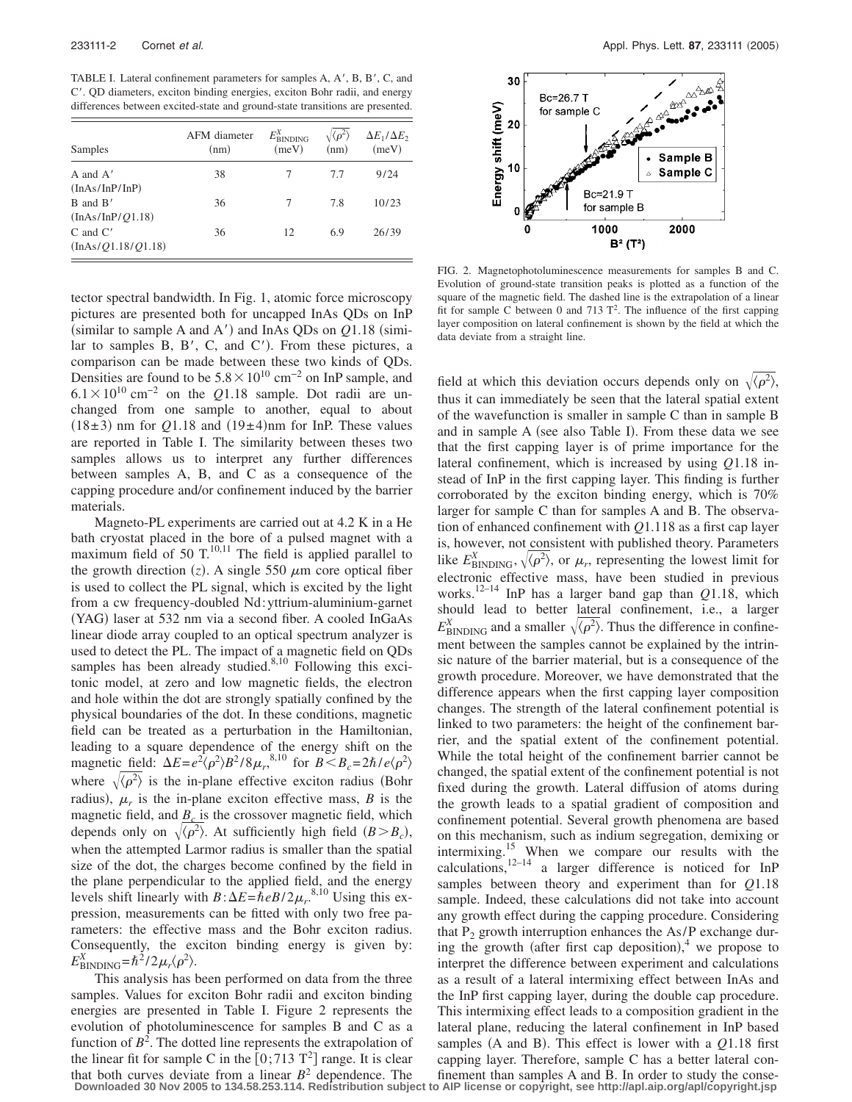TABLE I. Lateral confinement parameters for samples A, A', B, B', C, and C. QD diameters, exciton binding energies, exciton Bohr radii, and energy differences between excited-state and ground-state transitions are presented.

| Samples                            | AFM diameter<br>(nm) | $E_{\rm BIN DING}^X$<br>(meV) | $\sqrt{\langle \rho^2 \rangle}$<br>(nm) | $\Delta E_1/\Delta E_2$<br>(meV) |
|------------------------------------|----------------------|-------------------------------|-----------------------------------------|----------------------------------|
| A and $A'$<br>(InAs/InP/InP)       | 38                   |                               | 7.7                                     | 9/24                             |
| $B$ and $B'$<br>(InAs/InP/Q1.18)   | 36                   | 7                             | 7.8                                     | 10/23                            |
| $C$ and $C'$<br>(InAs/Q1.18/Q1.18) | 36                   | 12                            | 6.9                                     | 26/39                            |

tector spectral bandwidth. In Fig. 1, atomic force microscopy pictures are presented both for uncapped InAs QDs on InP (similar to sample A and  $A'$ ) and InAs QDs on  $Q1.18$  (similar to samples  $B$ ,  $B'$ ,  $C$ , and  $C'$ ). From these pictures, a comparison can be made between these two kinds of QDs. Densities are found to be  $5.8 \times 10^{10}$  cm<sup>-2</sup> on InP sample, and  $6.1 \times 10^{10}$  cm<sup>-2</sup> on the *Q*1.18 sample. Dot radii are unchanged from one sample to another, equal to about  $(18\pm 3)$  nm for  $Q1.18$  and  $(19\pm 4)$ nm for InP. These values are reported in Table I. The similarity between theses two samples allows us to interpret any further differences between samples A, B, and C as a consequence of the capping procedure and/or confinement induced by the barrier materials.

Magneto-PL experiments are carried out at 4.2 K in a He bath cryostat placed in the bore of a pulsed magnet with a maximum field of 50  $T<sup>10,11</sup>$  The field is applied parallel to the growth direction  $(z)$ . A single 550  $\mu$ m core optical fiber is used to collect the PL signal, which is excited by the light from a cw frequency-doubled Nd: yttrium-aluminium-garnet (YAG) laser at 532 nm via a second fiber. A cooled InGaAs linear diode array coupled to an optical spectrum analyzer is used to detect the PL. The impact of a magnetic field on QDs samples has been already studied. $8,10$  Following this excitonic model, at zero and low magnetic fields, the electron and hole within the dot are strongly spatially confined by the physical boundaries of the dot. In these conditions, magnetic field can be treated as a perturbation in the Hamiltonian, leading to a square dependence of the energy shift on the magnetic field:  $\Delta E = e^2(\rho^2)B^2/8\mu_r^{8,10}$  for  $B \leq B_c = 2\hbar/e\langle \rho^2 \rangle$ where  $\sqrt{\langle \rho^2 \rangle}$  is the in-plane effective exciton radius (Bohr radius),  $\mu_r$  is the in-plane exciton effective mass, *B* is the magnetic field, and  $B<sub>c</sub>$  is the crossover magnetic field, which depends only on  $\sqrt{\langle \rho^2 \rangle}$ . At sufficiently high field  $(B > B_c)$ , when the attempted Larmor radius is smaller than the spatial size of the dot, the charges become confined by the field in the plane perpendicular to the applied field, and the energy levels shift linearly with  $B: \Delta E = \hbar e B / 2 \mu_r^{8,10}$  Using this expression, measurements can be fitted with only two free parameters: the effective mass and the Bohr exciton radius. Consequently, the exciton binding energy is given by:  $E_{\text{BINDING}}^X = \hbar^2 / 2 \mu_r \langle \rho^2 \rangle$ .

This analysis has been performed on data from the three samples. Values for exciton Bohr radii and exciton binding energies are presented in Table I. Figure 2 represents the evolution of photoluminescence for samples B and C as a function of  $B^2$ . The dotted line represents the extrapolation of the linear fit for sample C in the  $[0;713 \text{ T}^2]$  range. It is clear that both curves deviate from a linear  $B^2$  dependence. The finement than samples A and B. In order to study the conse-<br>Downloaded 30 Nov 2005 to 134.58.253.114. Redistribution subject to AIP license or copyright, see ht



FIG. 2. Magnetophotoluminescence measurements for samples B and C. Evolution of ground-state transition peaks is plotted as a function of the square of the magnetic field. The dashed line is the extrapolation of a linear fit for sample C between 0 and 713  $T^2$ . The influence of the first capping layer composition on lateral confinement is shown by the field at which the data deviate from a straight line.

field at which this deviation occurs depends only on  $\sqrt{\langle \rho^2 \rangle}$ , thus it can immediately be seen that the lateral spatial extent of the wavefunction is smaller in sample C than in sample B and in sample A (see also Table I). From these data we see that the first capping layer is of prime importance for the lateral confinement, which is increased by using *Q*1.18 instead of InP in the first capping layer. This finding is further corroborated by the exciton binding energy, which is 70% larger for sample C than for samples A and B. The observation of enhanced confinement with *Q*1.118 as a first cap layer is, however, not consistent with published theory. Parameters like  $E_{\text{BINDING}}^{X}$ ,  $\sqrt{\langle \rho^2 \rangle}$ , or  $\mu_r$ , representing the lowest limit for electronic effective mass, have been studied in previous works.12–14 InP has a larger band gap than *Q*1.18, which should lead to better lateral confinement, i.e., a larger  $E_{\text{BINDING}}^X$  and a smaller  $\sqrt{\langle \rho^2 \rangle}$ . Thus the difference in confinement between the samples cannot be explained by the intrinsic nature of the barrier material, but is a consequence of the growth procedure. Moreover, we have demonstrated that the difference appears when the first capping layer composition changes. The strength of the lateral confinement potential is linked to two parameters: the height of the confinement barrier, and the spatial extent of the confinement potential. While the total height of the confinement barrier cannot be changed, the spatial extent of the confinement potential is not fixed during the growth. Lateral diffusion of atoms during the growth leads to a spatial gradient of composition and confinement potential. Several growth phenomena are based on this mechanism, such as indium segregation, demixing or intermixing.15 When we compare our results with the calculations, $12-14$  a larger difference is noticed for InP samples between theory and experiment than for *Q*1.18 sample. Indeed, these calculations did not take into account any growth effect during the capping procedure. Considering that  $P_2$  growth interruption enhances the As/P exchange during the growth (after first cap deposition), $4$  we propose to interpret the difference between experiment and calculations as a result of a lateral intermixing effect between InAs and the InP first capping layer, during the double cap procedure. This intermixing effect leads to a composition gradient in the lateral plane, reducing the lateral confinement in InP based samples (A and B). This effect is lower with a  $Q1.18$  first capping layer. Therefore, sample C has a better lateral con-